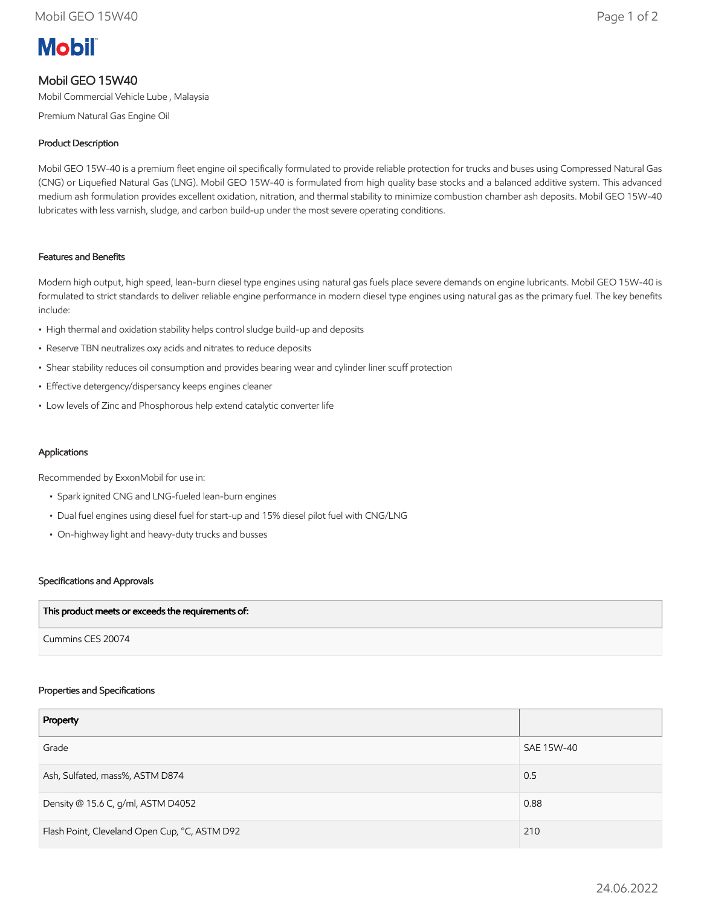# **Mobil**

## Mobil GEO 15W40

Mobil Commercial Vehicle Lube , Malaysia

Premium Natural Gas Engine Oil

### Product Description

Mobil GEO 15W-40 is a premium fleet engine oil specifically formulated to provide reliable protection for trucks and buses using Compressed Natural Gas (CNG) or Liquefied Natural Gas (LNG). Mobil GEO 15W-40 is formulated from high quality base stocks and a balanced additive system. This advanced medium ash formulation provides excellent oxidation, nitration, and thermal stability to minimize combustion chamber ash deposits. Mobil GEO 15W-40 lubricates with less varnish, sludge, and carbon build-up under the most severe operating conditions.

#### Features and Benefits

Modern high output, high speed, lean-burn diesel type engines using natural gas fuels place severe demands on engine lubricants. Mobil GEO 15W-40 is formulated to strict standards to deliver reliable engine performance in modern diesel type engines using natural gas as the primary fuel. The key benefits include:

- High thermal and oxidation stability helps control sludge build-up and deposits
- Reserve TBN neutralizes oxy acids and nitrates to reduce deposits
- Shear stability reduces oil consumption and provides bearing wear and cylinder liner scuff protection
- Effective detergency/dispersancy keeps engines cleaner
- Low levels of Zinc and Phosphorous help extend catalytic converter life

#### Applications

Recommended by ExxonMobil for use in:

- Spark ignited CNG and LNG-fueled lean-burn engines
- Dual fuel engines using diesel fuel for start-up and 15% diesel pilot fuel with CNG/LNG
- On-highway light and heavy-duty trucks and busses

#### Specifications and Approvals

| This product meets or exceeds the requirements of: |  |
|----------------------------------------------------|--|
| Cummins CES 20074                                  |  |

#### Properties and Specifications

| Property                                      |            |
|-----------------------------------------------|------------|
| Grade                                         | SAE 15W-40 |
| Ash, Sulfated, mass%, ASTM D874               | 0.5        |
| Density @ 15.6 C, g/ml, ASTM D4052            | 0.88       |
| Flash Point, Cleveland Open Cup, °C, ASTM D92 | 210        |